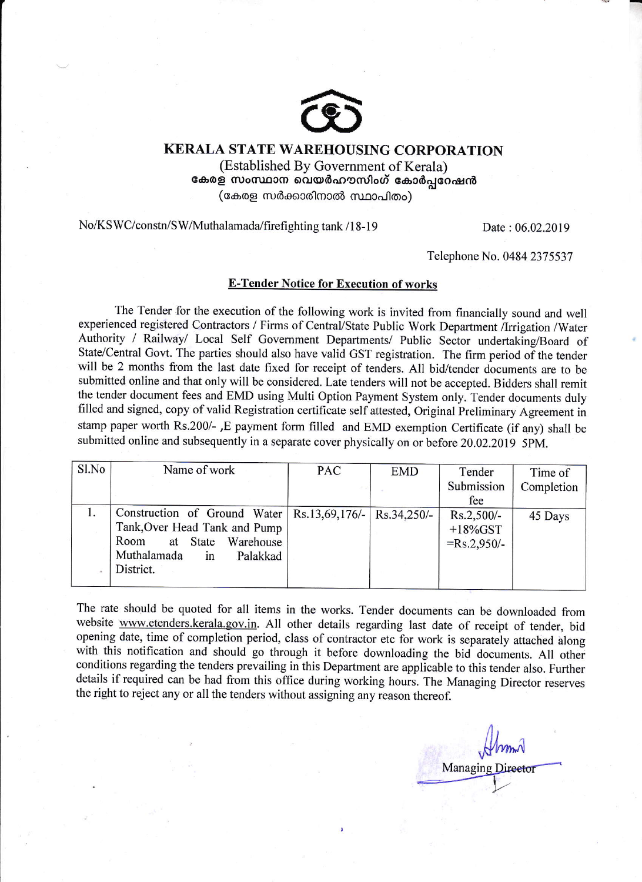

**KERALA STATE WAREHOUSING CORPORATION** 

(Established By Covernment of Kerala) കേരള സംസ്ഥാന വെയർഹൗസിംഗ് കോർപ്പറേഷൻ (കേരള സർക്കാരിനാൽ സ്ഥാപിതം)

No/KSWC/constn/SW/Muthalamada/firefighting tank /18-19 Date : 06.02.2019

Telephone No. 0484 2375537

## E-Tender Notice for Execution of works

The Tender for the execution of the following work is invited from financially sound and well experienced registered Contractors / Firms of Central/State Public Work Department /Irrigation /Water Authority / Railway/ Local Self Government Departments/ Public Sector undertaking/Board of State/Central Govt. The parties should also have valid GST registration. The firm period of the tender will be 2 months from the last date fixed for receipt of tenders. All bid/tender documents are to be submitted online and that only will be considered. Late tenders will not be accepted. Bidders shall remit the tender document fees and EMD using Multi Option Payment System only. Tender documents duly filled and signed, copy of valid Registration certificate self attested, Original Preliminary Agreement in stamp paper worth Rs.200/-, E payment form filled and EMD exemption Certificate (if any) shall be submitted online and subsequently in a separate cover physically on or before 20.02.2019 5pM.

| Sl.No | Name of work                                                    | <b>PAC</b> | <b>EMD</b> | Tender        | Time of    |
|-------|-----------------------------------------------------------------|------------|------------|---------------|------------|
|       |                                                                 |            |            | Submission    | Completion |
|       |                                                                 |            |            | fee           |            |
|       | Construction of Ground Water   $Rs.13,69,176/-$   $Rs.34,250/-$ |            |            | Rs.2,500/-    | 45 Days    |
|       | Tank, Over Head Tank and Pump                                   |            |            | $+18\%$ GST   |            |
|       | Room<br>State<br>Warehouse<br>at                                |            |            | $=Rs.2,950/-$ |            |
|       | Muthalamada<br>Palakkad<br>in                                   |            |            |               |            |
|       | District.                                                       |            |            |               |            |
|       |                                                                 |            |            |               |            |

The rate should be quoted for all items in the works. Tender documents can be downloaded from website www.etenders.kerala.gov.in. All other details regarding last date of receipt of tender, bid opening date, time of completion period, class of contractor etc for work is separately attached along with this notification and should go through it before downloading the bid documents. All other conditions regarding the tenders prevailing in this Department are applicable to this tender also. Further details if required can be had from this office during working hours. The Managing Director reserves the right to reject any or all the tenders without assigning any reason thereof.

Managing Director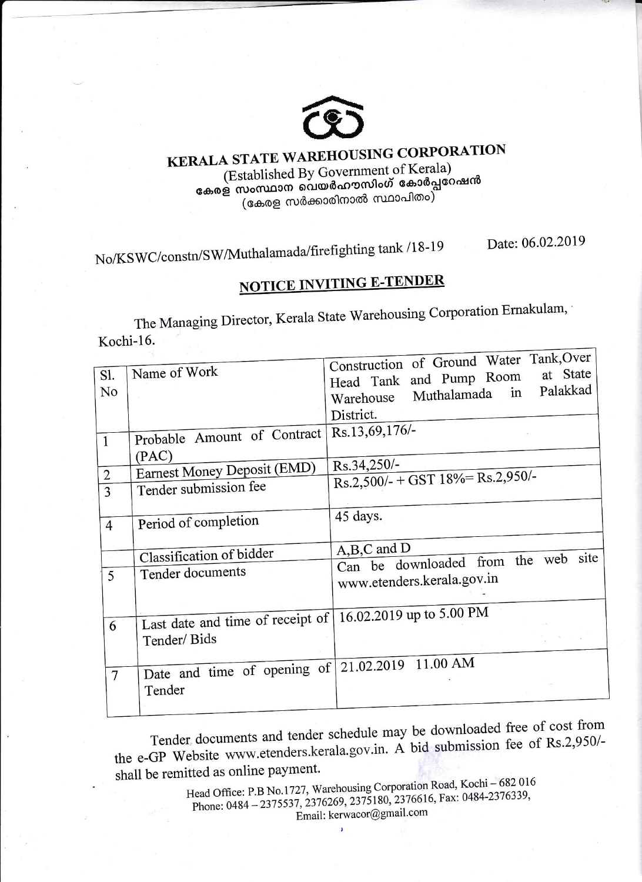

KERALA STATE WAREHOUSING CORPORATION (Established By Government of Kerala) കേരള സംസ്ഥാന വെയർഹൗസിംഗ് കോർപ്പറേഷൻ (കേരള സർക്കാരിനാൽ സ്ഥാപിതം)

Date: 06.02.2019 No/KSWC/constn/SW/Muthalamada/firefighting tank /18-19

## **NOTICE INVITING E-TENDER**

The Managing Director, Kerala State Warehousing Corporation Ernakulam, Kochi-16.

| S1.<br>No                                          | Name of Work                                                                                 | Construction of Ground Water Tank, Over<br>at State<br>Head Tank and Pump Room<br>Palakkad<br>Muthalamada in<br>Warehouse<br>District. |
|----------------------------------------------------|----------------------------------------------------------------------------------------------|----------------------------------------------------------------------------------------------------------------------------------------|
| $\overline{1}$<br>$\overline{2}$<br>$\overline{3}$ | Probable Amount of Contract<br>(PAC)<br>Earnest Money Deposit (EMD)<br>Tender submission fee | Rs.13,69,176/-<br>Rs.34,250/-<br>Rs.2,500/-+GST 18%=Rs.2,950/-                                                                         |
| $\overline{4}$                                     | Period of completion<br>Classification of bidder                                             | 45 days.<br>$A,B,C$ and $D$<br>Can be downloaded from the web site                                                                     |
| 5<br>6                                             | Tender documents<br>Last date and time of receipt of                                         | www.etenders.kerala.gov.in<br>16.02.2019 up to 5.00 PM                                                                                 |
| $\overline{7}$                                     | Tender/Bids<br>Date and time of opening of $21.02.2019$ 11.00 AM<br>Tender                   |                                                                                                                                        |

Tender documents and tender schedule may be downloaded free of cost from the e-GP Website www.etenders.kerala.gov.in. A bid submission fee of Rs.2,950/shall be remitted as online payment.

Head Office: P.B No.1727, Warehousing Corporation Road, Kochi - 682 016 Phone: 0484-2375537, 2376269, 2375180, 2376616, Fax: 0484-2376339, Email: kerwacor@gmail.com